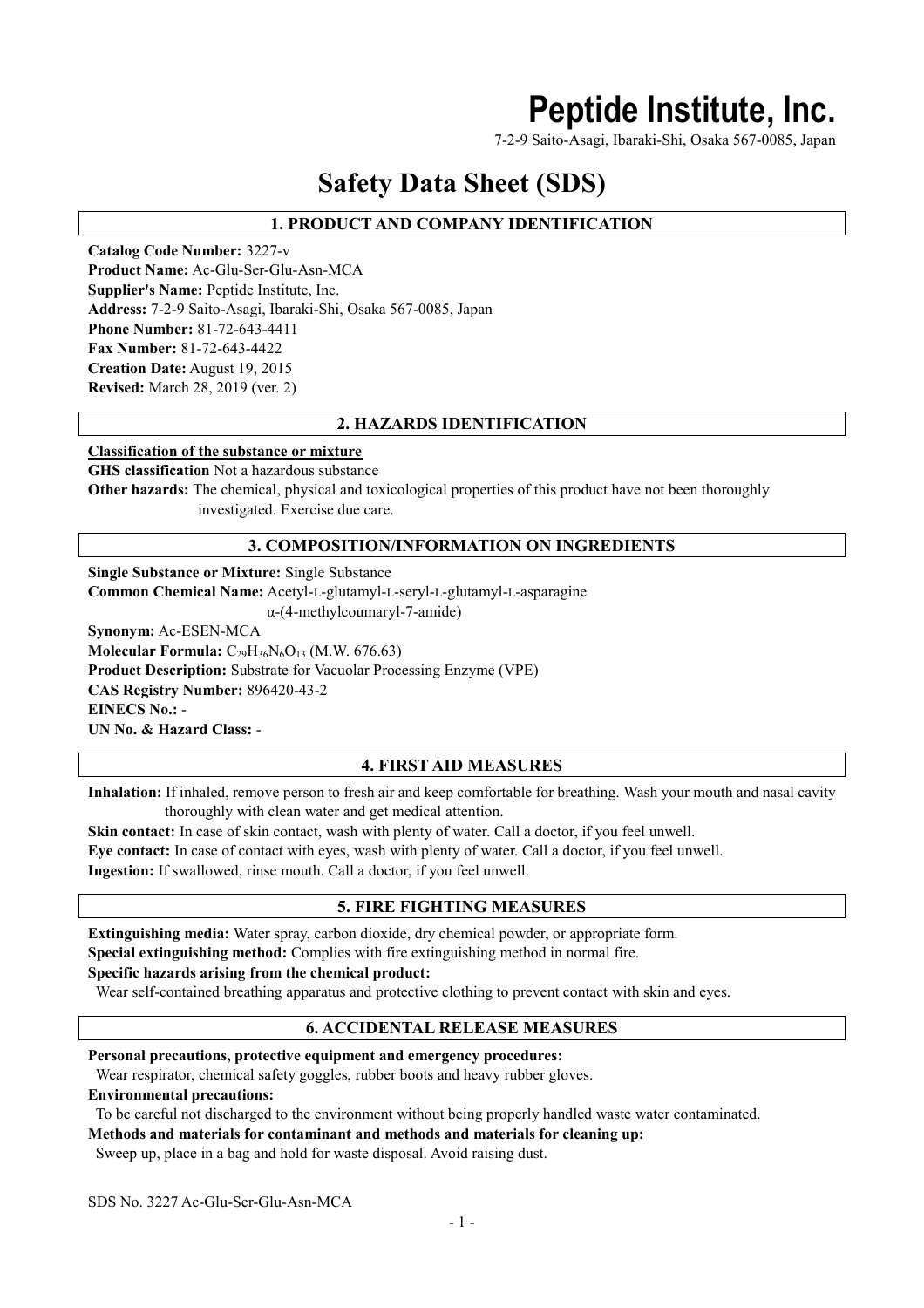## **Peptide Institute, Inc.**

7-2-9 Saito-Asagi, Ibaraki-Shi, Osaka 567-0085, Japan

## **Safety Data Sheet (SDS)**

## **1. PRODUCT AND COMPANY IDENTIFICATION**

**Catalog Code Number:** 3227-v **Product Name:** Ac-Glu-Ser-Glu-Asn-MCA **Supplier's Name:** Peptide Institute, Inc. **Address:** 7-2-9 Saito-Asagi, Ibaraki-Shi, Osaka 567-0085, Japan **Phone Number:** 81-72-643-4411 **Fax Number:** 81-72-643-4422 **Creation Date:** August 19, 2015 **Revised:** March 28, 2019 (ver. 2)

## **2. HAZARDS IDENTIFICATION**

### **Classification of the substance or mixture**

**GHS classification** Not a hazardous substance

**Other hazards:** The chemical, physical and toxicological properties of this product have not been thoroughly investigated. Exercise due care.

## **3. COMPOSITION/INFORMATION ON INGREDIENTS**

**Single Substance or Mixture:** Single Substance

**Common Chemical Name:** Acetyl-L-glutamyl-L-seryl-L-glutamyl-L-asparagine

α-(4-methylcoumaryl-7-amide)

**Synonym:** Ac-ESEN-MCA **Molecular Formula:** C<sub>29</sub>H<sub>36</sub>N<sub>6</sub>O<sub>13</sub> (M.W. 676.63) **Product Description:** Substrate for Vacuolar Processing Enzyme (VPE) **CAS Registry Number:** 896420-43-2 **EINECS No.:** - **UN No. & Hazard Class:** -

## **4. FIRST AID MEASURES**

**Inhalation:** If inhaled, remove person to fresh air and keep comfortable for breathing. Wash your mouth and nasal cavity thoroughly with clean water and get medical attention.

**Skin contact:** In case of skin contact, wash with plenty of water. Call a doctor, if you feel unwell. **Eye contact:** In case of contact with eyes, wash with plenty of water. Call a doctor, if you feel unwell. **Ingestion:** If swallowed, rinse mouth. Call a doctor, if you feel unwell.

## **5. FIRE FIGHTING MEASURES**

**Extinguishing media:** Water spray, carbon dioxide, dry chemical powder, or appropriate form.

**Special extinguishing method:** Complies with fire extinguishing method in normal fire.

#### **Specific hazards arising from the chemical product:**

Wear self-contained breathing apparatus and protective clothing to prevent contact with skin and eyes.

### **6. ACCIDENTAL RELEASE MEASURES**

**Personal precautions, protective equipment and emergency procedures:**

Wear respirator, chemical safety goggles, rubber boots and heavy rubber gloves.

**Environmental precautions:**

To be careful not discharged to the environment without being properly handled waste water contaminated.

### **Methods and materials for contaminant and methods and materials for cleaning up:**

Sweep up, place in a bag and hold for waste disposal. Avoid raising dust.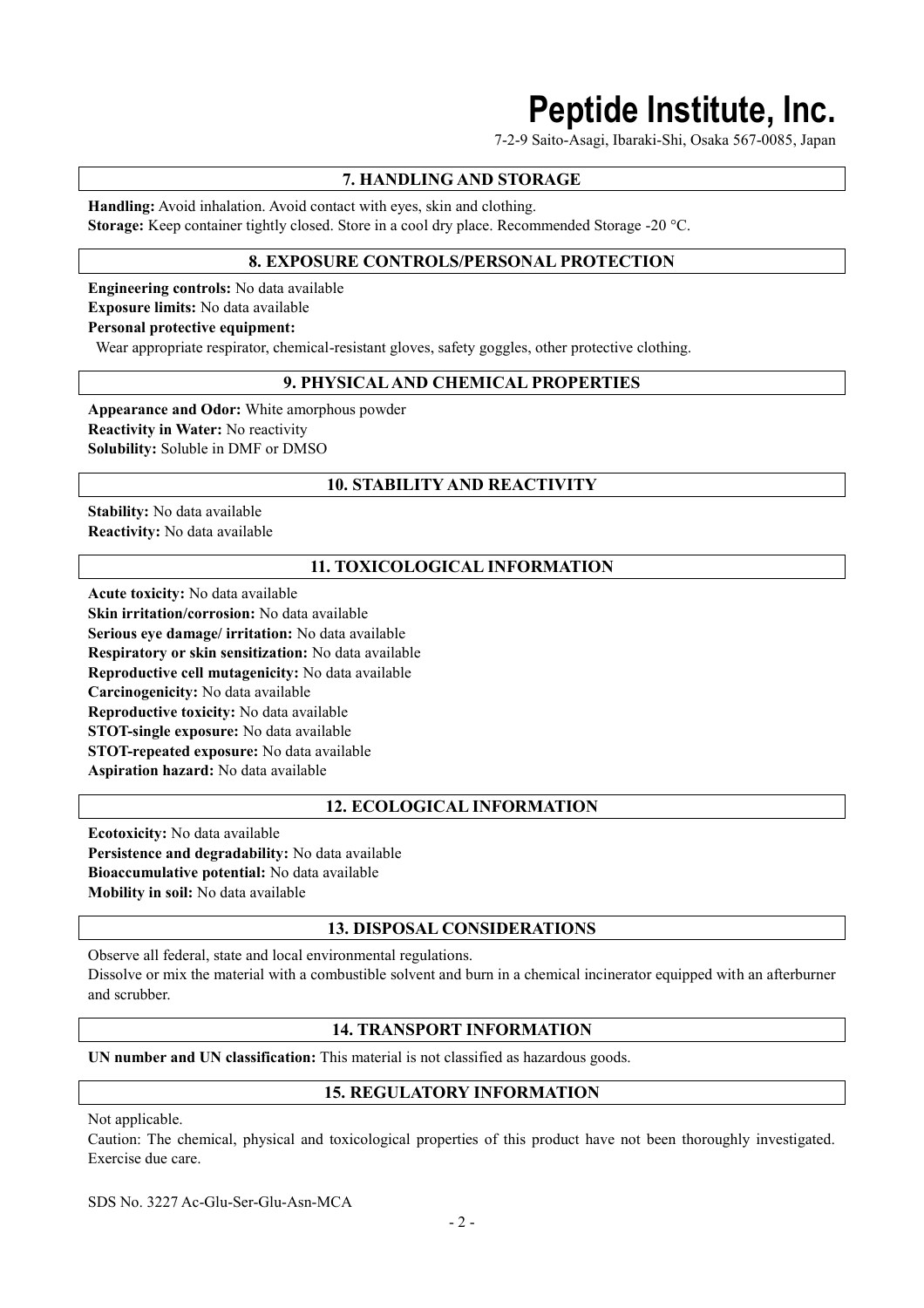# **Peptide Institute, Inc.**

7-2-9 Saito-Asagi, Ibaraki-Shi, Osaka 567-0085, Japan

## **7. HANDLING AND STORAGE**

**Handling:** Avoid inhalation. Avoid contact with eyes, skin and clothing. **Storage:** Keep container tightly closed. Store in a cool dry place. Recommended Storage -20 °C.

## **8. EXPOSURE CONTROLS/PERSONAL PROTECTION**

**Engineering controls:** No data available **Exposure limits:** No data available

**Personal protective equipment:**

Wear appropriate respirator, chemical-resistant gloves, safety goggles, other protective clothing.

## **9. PHYSICAL AND CHEMICAL PROPERTIES**

**Appearance and Odor:** White amorphous powder **Reactivity in Water:** No reactivity **Solubility:** Soluble in DMF or DMSO

## **10. STABILITY AND REACTIVITY**

**Stability:** No data available **Reactivity:** No data available

## **11. TOXICOLOGICAL INFORMATION**

**Acute toxicity:** No data available **Skin irritation/corrosion:** No data available **Serious eye damage/ irritation:** No data available **Respiratory or skin sensitization:** No data available **Reproductive cell mutagenicity:** No data available **Carcinogenicity:** No data available **Reproductive toxicity:** No data available **STOT-single exposure:** No data available **STOT-repeated exposure:** No data available **Aspiration hazard:** No data available

## **12. ECOLOGICAL INFORMATION**

**Ecotoxicity:** No data available **Persistence and degradability:** No data available **Bioaccumulative potential:** No data available **Mobility in soil:** No data available

## **13. DISPOSAL CONSIDERATIONS**

Observe all federal, state and local environmental regulations. Dissolve or mix the material with a combustible solvent and burn in a chemical incinerator equipped with an afterburner and scrubber.

## **14. TRANSPORT INFORMATION**

**UN number and UN classification:** This material is not classified as hazardous goods.

## **15. REGULATORY INFORMATION**

Not applicable.

Caution: The chemical, physical and toxicological properties of this product have not been thoroughly investigated. Exercise due care.

SDS No. 3227 Ac-Glu-Ser-Glu-Asn-MCA